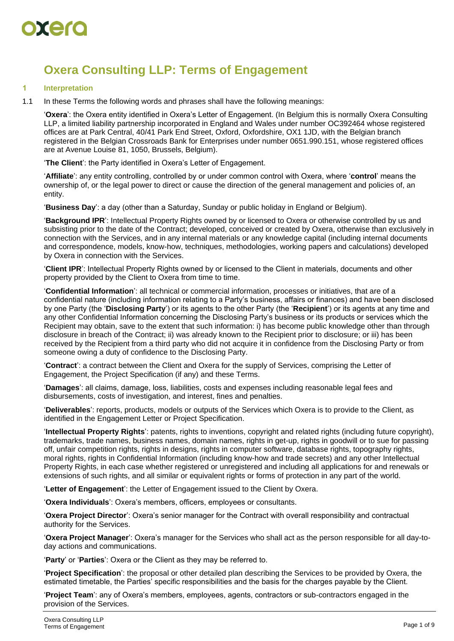

# **Oxera Consulting LLP: Terms of Engagement**

# **1 Interpretation**

1.1 In these Terms the following words and phrases shall have the following meanings:

'**Oxera**': the Oxera entity identified in Oxera's Letter of Engagement. (In Belgium this is normally Oxera Consulting LLP, a limited liability partnership incorporated in England and Wales under number OC392464 whose registered offices are at Park Central, 40/41 Park End Street, Oxford, Oxfordshire, OX1 1JD, with the Belgian branch registered in the Belgian Crossroads Bank for Enterprises under number 0651.990.151, whose registered offices are at Avenue Louise 81, 1050, Brussels, Belgium).

'**The Client**': the Party identified in Oxera's Letter of Engagement.

'**Affiliate**': any entity controlling, controlled by or under common control with Oxera, where '**control**' means the ownership of, or the legal power to direct or cause the direction of the general management and policies of, an entity.

'**Business Day**': a day (other than a Saturday, Sunday or public holiday in England or Belgium).

'**Background IPR**': Intellectual Property Rights owned by or licensed to Oxera or otherwise controlled by us and subsisting prior to the date of the Contract; developed, conceived or created by Oxera, otherwise than exclusively in connection with the Services, and in any internal materials or any knowledge capital (including internal documents and correspondence, models, know-how, techniques, methodologies, working papers and calculations) developed by Oxera in connection with the Services.

'**Client IPR**': Intellectual Property Rights owned by or licensed to the Client in materials, documents and other property provided by the Client to Oxera from time to time.

'**Confidential Information**': all technical or commercial information, processes or initiatives, that are of a confidential nature (including information relating to a Party's business, affairs or finances) and have been disclosed by one Party (the '**Disclosing Party**') or its agents to the other Party (the '**Recipient**') or its agents at any time and any other Confidential Information concerning the Disclosing Party's business or its products or services which the Recipient may obtain, save to the extent that such information: i) has become public knowledge other than through disclosure in breach of the Contract; ii) was already known to the Recipient prior to disclosure; or iii) has been received by the Recipient from a third party who did not acquire it in confidence from the Disclosing Party or from someone owing a duty of confidence to the Disclosing Party.

'**Contract**': a contract between the Client and Oxera for the supply of Services, comprising the Letter of Engagement, the Project Specification (if any) and these Terms.

'**Damages**': all claims, damage, loss, liabilities, costs and expenses including reasonable legal fees and disbursements, costs of investigation, and interest, fines and penalties.

'**Deliverables**': reports, products, models or outputs of the Services which Oxera is to provide to the Client, as identified in the Engagement Letter or Project Specification.

'**Intellectual Property Rights**': patents, rights to inventions, copyright and related rights (including future copyright), trademarks, trade names, business names, domain names, rights in get-up, rights in goodwill or to sue for passing off, unfair competition rights, rights in designs, rights in computer software, database rights, topography rights, moral rights, rights in Confidential Information (including know-how and trade secrets) and any other Intellectual Property Rights, in each case whether registered or unregistered and including all applications for and renewals or extensions of such rights, and all similar or equivalent rights or forms of protection in any part of the world.

'**Letter of Engagement**': the Letter of Engagement issued to the Client by Oxera.

'**Oxera Individuals**': Oxera's members, officers, employees or consultants.

'**Oxera Project Director**': Oxera's senior manager for the Contract with overall responsibility and contractual authority for the Services.

'**Oxera Project Manager**': Oxera's manager for the Services who shall act as the person responsible for all day-today actions and communications.

'**Party**' or '**Parties**': Oxera or the Client as they may be referred to.

'**Project Specification**': the proposal or other detailed plan describing the Services to be provided by Oxera, the estimated timetable, the Parties' specific responsibilities and the basis for the charges payable by the Client.

'**Project Team**': any of Oxera's members, employees, agents, contractors or sub-contractors engaged in the provision of the Services.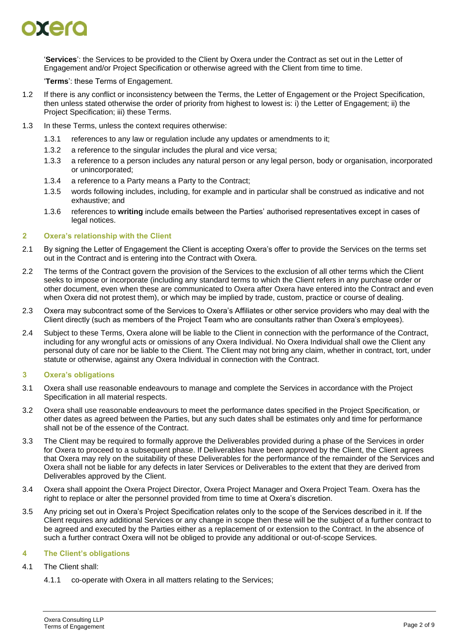

'**Services**': the Services to be provided to the Client by Oxera under the Contract as set out in the Letter of Engagement and/or Project Specification or otherwise agreed with the Client from time to time.

'**Terms**': these Terms of Engagement.

- 1.2 If there is any conflict or inconsistency between the Terms, the Letter of Engagement or the Project Specification, then unless stated otherwise the order of priority from highest to lowest is: i) the Letter of Engagement; ii) the Project Specification; iii) these Terms.
- 1.3 In these Terms, unless the context requires otherwise:
	- 1.3.1 references to any law or regulation include any updates or amendments to it;
	- 1.3.2 a reference to the singular includes the plural and vice versa;
	- 1.3.3 a reference to a person includes any natural person or any legal person, body or organisation, incorporated or unincorporated;
	- 1.3.4 a reference to a Party means a Party to the Contract;
	- 1.3.5 words following includes, including, for example and in particular shall be construed as indicative and not exhaustive; and
	- 1.3.6 references to **writing** include emails between the Parties' authorised representatives except in cases of legal notices.

# <span id="page-1-0"></span>**2 Oxera's relationship with the Client**

- 2.1 By signing the Letter of Engagement the Client is accepting Oxera's offer to provide the Services on the terms set out in the Contract and is entering into the Contract with Oxera.
- 2.2 The terms of the Contract govern the provision of the Services to the exclusion of all other terms which the Client seeks to impose or incorporate (including any standard terms to which the Client refers in any purchase order or other document, even when these are communicated to Oxera after Oxera have entered into the Contract and even when Oxera did not protest them), or which may be implied by trade, custom, practice or course of dealing.
- 2.3 Oxera may subcontract some of the Services to Oxera's Affiliates or other service providers who may deal with the Client directly (such as members of the Project Team who are consultants rather than Oxera's employees).
- <span id="page-1-1"></span>2.4 Subject to these Terms, Oxera alone will be liable to the Client in connection with the performance of the Contract, including for any wrongful acts or omissions of any Oxera Individual. No Oxera Individual shall owe the Client any personal duty of care nor be liable to the Client. The Client may not bring any claim, whether in contract, tort, under statute or otherwise, against any Oxera Individual in connection with the Contract.

# **3 Oxera's obligations**

- 3.1 Oxera shall use reasonable endeavours to manage and complete the Services in accordance with the Project Specification in all material respects.
- 3.2 Oxera shall use reasonable endeavours to meet the performance dates specified in the Project Specification, or other dates as agreed between the Parties, but any such dates shall be estimates only and time for performance shall not be of the essence of the Contract.
- 3.3 The Client may be required to formally approve the Deliverables provided during a phase of the Services in order for Oxera to proceed to a subsequent phase. If Deliverables have been approved by the Client, the Client agrees that Oxera may rely on the suitability of these Deliverables for the performance of the remainder of the Services and Oxera shall not be liable for any defects in later Services or Deliverables to the extent that they are derived from Deliverables approved by the Client.
- 3.4 Oxera shall appoint the Oxera Project Director, Oxera Project Manager and Oxera Project Team. Oxera has the right to replace or alter the personnel provided from time to time at Oxera's discretion.
- <span id="page-1-2"></span>3.5 Any pricing set out in Oxera's Project Specification relates only to the scope of the Services described in it. If the Client requires any additional Services or any change in scope then these will be the subject of a further contract to be agreed and executed by the Parties either as a replacement of or extension to the Contract. In the absence of such a further contract Oxera will not be obliged to provide any additional or out-of-scope Services.

# **4 The Client's obligations**

- 4.1 The Client shall:
	- 4.1.1 co-operate with Oxera in all matters relating to the Services;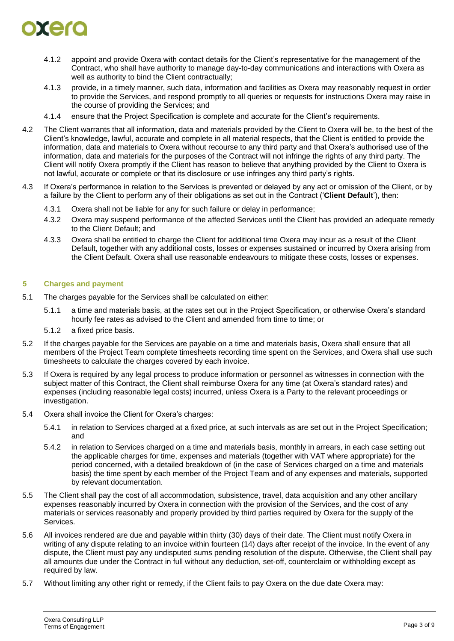

- 4.1.2 appoint and provide Oxera with contact details for the Client's representative for the management of the Contract, who shall have authority to manage day-to-day communications and interactions with Oxera as well as authority to bind the Client contractually;
- 4.1.3 provide, in a timely manner, such data, information and facilities as Oxera may reasonably request in order to provide the Services, and respond promptly to all queries or requests for instructions Oxera may raise in the course of providing the Services; and
- 4.1.4 ensure that the Project Specification is complete and accurate for the Client's requirements.
- 4.2 The Client warrants that all information, data and materials provided by the Client to Oxera will be, to the best of the Client's knowledge, lawful, accurate and complete in all material respects, that the Client is entitled to provide the information, data and materials to Oxera without recourse to any third party and that Oxera's authorised use of the information, data and materials for the purposes of the Contract will not infringe the rights of any third party. The Client will notify Oxera promptly if the Client has reason to believe that anything provided by the Client to Oxera is not lawful, accurate or complete or that its disclosure or use infringes any third party's rights.
- 4.3 If Oxera's performance in relation to the Services is prevented or delayed by any act or omission of the Client, or by a failure by the Client to perform any of their obligations as set out in the Contract ('**Client Default**'), then:
	- 4.3.1 Oxera shall not be liable for any for such failure or delay in performance;
	- 4.3.2 Oxera may suspend performance of the affected Services until the Client has provided an adequate remedy to the Client Default; and
	- 4.3.3 Oxera shall be entitled to charge the Client for additional time Oxera may incur as a result of the Client Default, together with any additional costs, losses or expenses sustained or incurred by Oxera arising from the Client Default. Oxera shall use reasonable endeavours to mitigate these costs, losses or expenses.

# **5 Charges and payment**

- 5.1 The charges payable for the Services shall be calculated on either:
	- 5.1.1 a time and materials basis, at the rates set out in the Project Specification, or otherwise Oxera's standard hourly fee rates as advised to the Client and amended from time to time; or
	- 5.1.2 a fixed price basis.
- 5.2 If the charges payable for the Services are payable on a time and materials basis, Oxera shall ensure that all members of the Project Team complete timesheets recording time spent on the Services, and Oxera shall use such timesheets to calculate the charges covered by each invoice.
- 5.3 If Oxera is required by any legal process to produce information or personnel as witnesses in connection with the subject matter of this Contract, the Client shall reimburse Oxera for any time (at Oxera's standard rates) and expenses (including reasonable legal costs) incurred, unless Oxera is a Party to the relevant proceedings or investigation.
- 5.4 Oxera shall invoice the Client for Oxera's charges:
	- 5.4.1 in relation to Services charged at a fixed price, at such intervals as are set out in the Project Specification; and
	- 5.4.2 in relation to Services charged on a time and materials basis, monthly in arrears, in each case setting out the applicable charges for time, expenses and materials (together with VAT where appropriate) for the period concerned, with a detailed breakdown of (in the case of Services charged on a time and materials basis) the time spent by each member of the Project Team and of any expenses and materials, supported by relevant documentation.
- 5.5 The Client shall pay the cost of all accommodation, subsistence, travel, data acquisition and any other ancillary expenses reasonably incurred by Oxera in connection with the provision of the Services, and the cost of any materials or services reasonably and properly provided by third parties required by Oxera for the supply of the **Services**
- 5.6 All invoices rendered are due and payable within thirty (30) days of their date. The Client must notify Oxera in writing of any dispute relating to an invoice within fourteen (14) days after receipt of the invoice. In the event of any dispute, the Client must pay any undisputed sums pending resolution of the dispute. Otherwise, the Client shall pay all amounts due under the Contract in full without any deduction, set-off, counterclaim or withholding except as required by law.
- 5.7 Without limiting any other right or remedy, if the Client fails to pay Oxera on the due date Oxera may: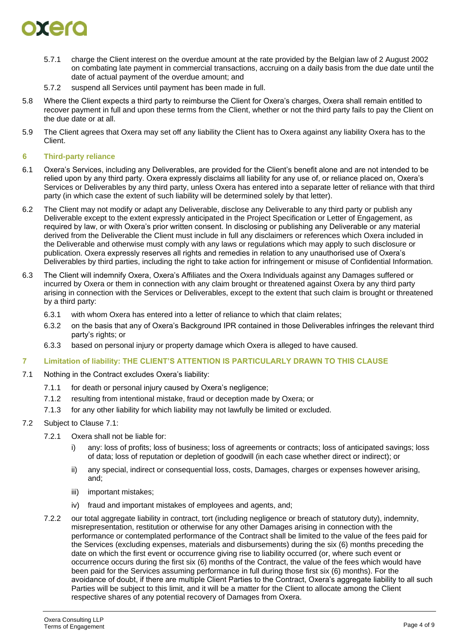

- 5.7.1 charge the Client interest on the overdue amount at the rate provided by the Belgian law of 2 August 2002 on combating late payment in commercial transactions, accruing on a daily basis from the due date until the date of actual payment of the overdue amount; and
- 5.7.2 suspend all Services until payment has been made in full.
- 5.8 Where the Client expects a third party to reimburse the Client for Oxera's charges, Oxera shall remain entitled to recover payment in full and upon these terms from the Client, whether or not the third party fails to pay the Client on the due date or at all.
- 5.9 The Client agrees that Oxera may set off any liability the Client has to Oxera against any liability Oxera has to the Client.

# <span id="page-3-2"></span>**6 Third-party reliance**

- 6.1 Oxera's Services, including any Deliverables, are provided for the Client's benefit alone and are not intended to be relied upon by any third party. Oxera expressly disclaims all liability for any use of, or reliance placed on, Oxera's Services or Deliverables by any third party, unless Oxera has entered into a separate letter of reliance with that third party (in which case the extent of such liability will be determined solely by that letter).
- 6.2 The Client may not modify or adapt any Deliverable, disclose any Deliverable to any third party or publish any Deliverable except to the extent expressly anticipated in the Project Specification or Letter of Engagement, as required by law, or with Oxera's prior written consent. In disclosing or publishing any Deliverable or any material derived from the Deliverable the Client must include in full any disclaimers or references which Oxera included in the Deliverable and otherwise must comply with any laws or regulations which may apply to such disclosure or publication. Oxera expressly reserves all rights and remedies in relation to any unauthorised use of Oxera's Deliverables by third parties, including the right to take action for infringement or misuse of Confidential Information.
- <span id="page-3-3"></span>6.3 The Client will indemnify Oxera, Oxera's Affiliates and the Oxera Individuals against any Damages suffered or incurred by Oxera or them in connection with any claim brought or threatened against Oxera by any third party arising in connection with the Services or Deliverables, except to the extent that such claim is brought or threatened by a third party:
	- 6.3.1 with whom Oxera has entered into a letter of reliance to which that claim relates;
	- 6.3.2 on the basis that any of Oxera's Background IPR contained in those Deliverables infringes the relevant third party's rights; or
	- 6.3.3 based on personal injury or property damage which Oxera is alleged to have caused.

### <span id="page-3-1"></span>**7 Limitation of liability: THE CLIENT'S ATTENTION IS PARTICULARLY DRAWN TO THIS CLAUSE**

- <span id="page-3-0"></span>7.1 Nothing in the Contract excludes Oxera's liability:
	- 7.1.1 for death or personal injury caused by Oxera's negligence;
	- 7.1.2 resulting from intentional mistake, fraud or deception made by Oxera; or
	- 7.1.3 for any other liability for which liability may not lawfully be limited or excluded.

# 7.2 Subject to Clause [7.1:](#page-3-0)

- 7.2.1 Oxera shall not be liable for:
	- i) any: loss of profits; loss of business; loss of agreements or contracts; loss of anticipated savings; loss of data; loss of reputation or depletion of goodwill (in each case whether direct or indirect); or
	- ii) any special, indirect or consequential loss, costs, Damages, charges or expenses however arising, and;
	- iii) important mistakes;
	- iv) fraud and important mistakes of employees and agents, and;
- 7.2.2 our total aggregate liability in contract, tort (including negligence or breach of statutory duty), indemnity, misrepresentation, restitution or otherwise for any other Damages arising in connection with the performance or contemplated performance of the Contract shall be limited to the value of the fees paid for the Services (excluding expenses, materials and disbursements) during the six (6) months preceding the date on which the first event or occurrence giving rise to liability occurred (or, where such event or occurrence occurs during the first six (6) months of the Contract, the value of the fees which would have been paid for the Services assuming performance in full during those first six (6) months). For the avoidance of doubt, if there are multiple Client Parties to the Contract, Oxera's aggregate liability to all such Parties will be subject to this limit, and it will be a matter for the Client to allocate among the Client respective shares of any potential recovery of Damages from Oxera.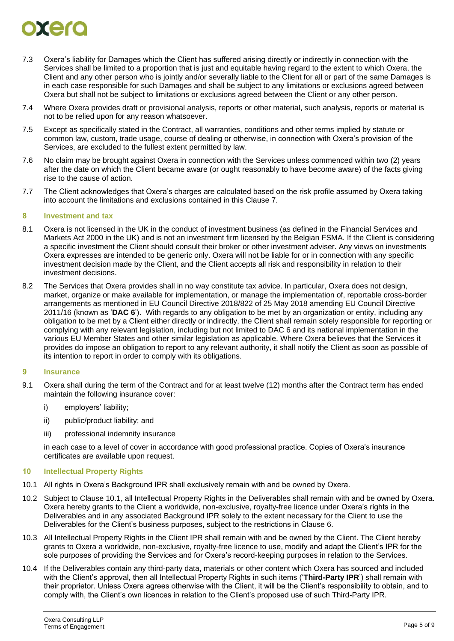# orero

- 7.3 Oxera's liability for Damages which the Client has suffered arising directly or indirectly in connection with the Services shall be limited to a proportion that is just and equitable having regard to the extent to which Oxera, the Client and any other person who is jointly and/or severally liable to the Client for all or part of the same Damages is in each case responsible for such Damages and shall be subject to any limitations or exclusions agreed between Oxera but shall not be subject to limitations or exclusions agreed between the Client or any other person.
- 7.4 Where Oxera provides draft or provisional analysis, reports or other material, such analysis, reports or material is not to be relied upon for any reason whatsoever.
- 7.5 Except as specifically stated in the Contract, all warranties, conditions and other terms implied by statute or common law, custom, trade usage, course of dealing or otherwise, in connection with Oxera's provision of the Services, are excluded to the fullest extent permitted by law.
- 7.6 No claim may be brought against Oxera in connection with the Services unless commenced within two (2) years after the date on which the Client became aware (or ought reasonably to have become aware) of the facts giving rise to the cause of action.
- 7.7 The Client acknowledges that Oxera's charges are calculated based on the risk profile assumed by Oxera taking into account the limitations and exclusions contained in this Clause [7.](#page-3-1)

# **8 Investment and tax**

- 8.1 Oxera is not licensed in the UK in the conduct of investment business (as defined in the Financial Services and Markets Act 2000 in the UK) and is not an investment firm licensed by the Belgian FSMA. If the Client is considering a specific investment the Client should consult their broker or other investment adviser. Any views on investments Oxera expresses are intended to be generic only. Oxera will not be liable for or in connection with any specific investment decision made by the Client, and the Client accepts all risk and responsibility in relation to their investment decisions.
- 8.2 The Services that Oxera provides shall in no way constitute tax advice. In particular, Oxera does not design, market, organize or make available for implementation, or manage the implementation of, reportable cross-border arrangements as mentioned in EU Council Directive 2018/822 of 25 May 2018 amending EU Council Directive 2011/16 (known as '**DAC 6**'). With regards to any obligation to be met by an organization or entity, including any obligation to be met by a Client either directly or indirectly, the Client shall remain solely responsible for reporting or complying with any relevant legislation, including but not limited to DAC 6 and its national implementation in the various EU Member States and other similar legislation as applicable. Where Oxera believes that the Services it provides do impose an obligation to report to any relevant authority, it shall notify the Client as soon as possible of its intention to report in order to comply with its obligations.

# **9 Insurance**

- 9.1 Oxera shall during the term of the Contract and for at least twelve (12) months after the Contract term has ended maintain the following insurance cover:
	- i) employers' liability;
	- ii) public/product liability; and
	- iii) professional indemnity insurance

in each case to a level of cover in accordance with good professional practice. Copies of Oxera's insurance certificates are available upon request.

# **10 Intellectual Property Rights**

- <span id="page-4-0"></span>10.1 All rights in Oxera's Background IPR shall exclusively remain with and be owned by Oxera.
- 10.2 Subject to Clause [10.1,](#page-4-0) all Intellectual Property Rights in the Deliverables shall remain with and be owned by Oxera. Oxera hereby grants to the Client a worldwide, non-exclusive, royalty-free licence under Oxera's rights in the Deliverables and in any associated Background IPR solely to the extent necessary for the Client to use the Deliverables for the Client's business purposes, subject to the restrictions in Clause [6.](#page-3-2)
- 10.3 All Intellectual Property Rights in the Client IPR shall remain with and be owned by the Client. The Client hereby grants to Oxera a worldwide, non-exclusive, royalty-free licence to use, modify and adapt the Client's IPR for the sole purposes of providing the Services and for Oxera's record-keeping purposes in relation to the Services.
- 10.4 If the Deliverables contain any third-party data, materials or other content which Oxera has sourced and included with the Client's approval, then all Intellectual Property Rights in such items ('**Third-Party IPR**') shall remain with their proprietor. Unless Oxera agrees otherwise with the Client, it will be the Client's responsibility to obtain, and to comply with, the Client's own licences in relation to the Client's proposed use of such Third-Party IPR.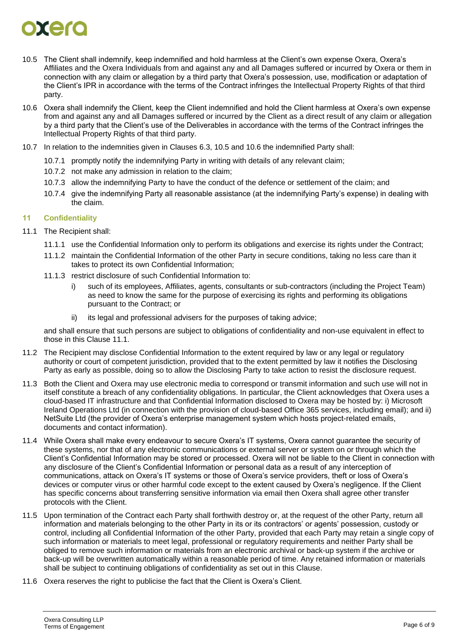

- <span id="page-5-0"></span>10.5 The Client shall indemnify, keep indemnified and hold harmless at the Client's own expense Oxera, Oxera's Affiliates and the Oxera Individuals from and against any and all Damages suffered or incurred by Oxera or them in connection with any claim or allegation by a third party that Oxera's possession, use, modification or adaptation of the Client's IPR in accordance with the terms of the Contract infringes the Intellectual Property Rights of that third party.
- <span id="page-5-1"></span>10.6 Oxera shall indemnify the Client, keep the Client indemnified and hold the Client harmless at Oxera's own expense from and against any and all Damages suffered or incurred by the Client as a direct result of any claim or allegation by a third party that the Client's use of the Deliverables in accordance with the terms of the Contract infringes the Intellectual Property Rights of that third party.
- 10.7 In relation to the indemnities given in Clauses [6.3,](#page-3-3) [10.5](#page-5-0) and [10.6](#page-5-1) the indemnified Party shall:
	- 10.7.1 promptly notify the indemnifying Party in writing with details of any relevant claim;
	- 10.7.2 not make any admission in relation to the claim;
	- 10.7.3 allow the indemnifying Party to have the conduct of the defence or settlement of the claim; and
	- 10.7.4 give the indemnifying Party all reasonable assistance (at the indemnifying Party's expense) in dealing with the claim.

# <span id="page-5-3"></span>**11 Confidentiality**

- <span id="page-5-2"></span>11.1 The Recipient shall:
	- 11.1.1 use the Confidential Information only to perform its obligations and exercise its rights under the Contract;
	- 11.1.2 maintain the Confidential Information of the other Party in secure conditions, taking no less care than it takes to protect its own Confidential Information;
	- 11.1.3 restrict disclosure of such Confidential Information to:
		- i) such of its employees, Affiliates, agents, consultants or sub-contractors (including the Project Team) as need to know the same for the purpose of exercising its rights and performing its obligations pursuant to the Contract; or
		- ii) its legal and professional advisers for the purposes of taking advice;

and shall ensure that such persons are subject to obligations of confidentiality and non-use equivalent in effect to those in this Clause [11.1.](#page-5-2)

- 11.2 The Recipient may disclose Confidential Information to the extent required by law or any legal or regulatory authority or court of competent jurisdiction, provided that to the extent permitted by law it notifies the Disclosing Party as early as possible, doing so to allow the Disclosing Party to take action to resist the disclosure request.
- 11.3 Both the Client and Oxera may use electronic media to correspond or transmit information and such use will not in itself constitute a breach of any confidentiality obligations. In particular, the Client acknowledges that Oxera uses a cloud-based IT infrastructure and that Confidential Information disclosed to Oxera may be hosted by: i) Microsoft Ireland Operations Ltd (in connection with the provision of cloud-based Office 365 services, including email); and ii) NetSuite Ltd (the provider of Oxera's enterprise management system which hosts project-related emails, documents and contact information).
- 11.4 While Oxera shall make every endeavour to secure Oxera's IT systems, Oxera cannot guarantee the security of these systems, nor that of any electronic communications or external server or system on or through which the Client's Confidential Information may be stored or processed. Oxera will not be liable to the Client in connection with any disclosure of the Client's Confidential Information or personal data as a result of any interception of communications, attack on Oxera's IT systems or those of Oxera's service providers, theft or loss of Oxera's devices or computer virus or other harmful code except to the extent caused by Oxera's negligence. If the Client has specific concerns about transferring sensitive information via email then Oxera shall agree other transfer protocols with the Client.
- 11.5 Upon termination of the Contract each Party shall forthwith destroy or, at the request of the other Party, return all information and materials belonging to the other Party in its or its contractors' or agents' possession, custody or control, including all Confidential Information of the other Party, provided that each Party may retain a single copy of such information or materials to meet legal, professional or regulatory requirements and neither Party shall be obliged to remove such information or materials from an electronic archival or back-up system if the archive or back-up will be overwritten automatically within a reasonable period of time. Any retained information or materials shall be subject to continuing obligations of confidentiality as set out in this Clause.
- 11.6 Oxera reserves the right to publicise the fact that the Client is Oxera's Client.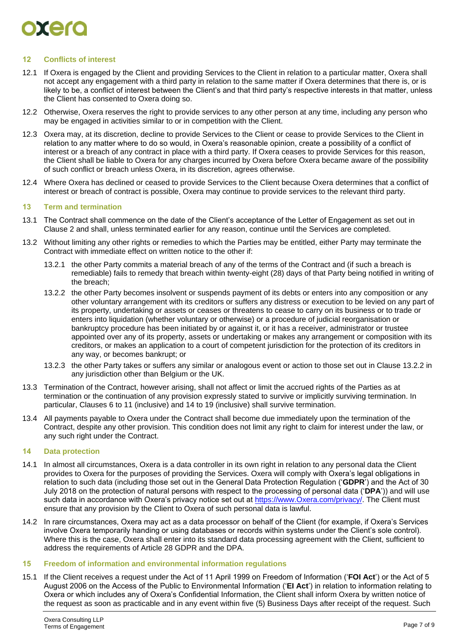

# **12 Conflicts of interest**

- 12.1 If Oxera is engaged by the Client and providing Services to the Client in relation to a particular matter, Oxera shall not accept any engagement with a third party in relation to the same matter if Oxera determines that there is, or is likely to be, a conflict of interest between the Client's and that third party's respective interests in that matter, unless the Client has consented to Oxera doing so.
- 12.2 Otherwise, Oxera reserves the right to provide services to any other person at any time, including any person who may be engaged in activities similar to or in competition with the Client.
- 12.3 Oxera may, at its discretion, decline to provide Services to the Client or cease to provide Services to the Client in relation to any matter where to do so would, in Oxera's reasonable opinion, create a possibility of a conflict of interest or a breach of any contract in place with a third party. If Oxera ceases to provide Services for this reason, the Client shall be liable to Oxera for any charges incurred by Oxera before Oxera became aware of the possibility of such conflict or breach unless Oxera, in its discretion, agrees otherwise.
- 12.4 Where Oxera has declined or ceased to provide Services to the Client because Oxera determines that a conflict of interest or breach of contract is possible, Oxera may continue to provide services to the relevant third party.

### **13 Term and termination**

- 13.1 The Contract shall commence on the date of the Client's acceptance of the Letter of Engagement as set out in Clause [2](#page-1-0) and shall, unless terminated earlier for any reason, continue until the Services are completed.
- <span id="page-6-0"></span>13.2 Without limiting any other rights or remedies to which the Parties may be entitled, either Party may terminate the Contract with immediate effect on written notice to the other if:
	- 13.2.1 the other Party commits a material breach of any of the terms of the Contract and (if such a breach is remediable) fails to remedy that breach within twenty-eight (28) days of that Party being notified in writing of the breach;
	- 13.2.2 the other Party becomes insolvent or suspends payment of its debts or enters into any composition or any other voluntary arrangement with its creditors or suffers any distress or execution to be levied on any part of its property, undertaking or assets or ceases or threatens to cease to carry on its business or to trade or enters into liquidation (whether voluntary or otherwise) or a procedure of judicial reorganisation or bankruptcy procedure has been initiated by or against it, or it has a receiver, administrator or trustee appointed over any of its property, assets or undertaking or makes any arrangement or composition with its creditors, or makes an application to a court of competent jurisdiction for the protection of its creditors in any way, or becomes bankrupt; or
	- 13.2.3 the other Party takes or suffers any similar or analogous event or action to those set out in Clause [13.2.2](#page-6-0) in any jurisdiction other than Belgium or the UK.
- 13.3 Termination of the Contract, however arising, shall not affect or limit the accrued rights of the Parties as at termination or the continuation of any provision expressly stated to survive or implicitly surviving termination. In particular, Clauses [6](#page-3-2) to [11](#page-5-3) (inclusive) and [14](#page-6-1) to [19](#page-7-0) (inclusive) shall survive termination.
- 13.4 All payments payable to Oxera under the Contract shall become due immediately upon the termination of the Contract, despite any other provision. This condition does not limit any right to claim for interest under the law, or any such right under the Contract.

#### <span id="page-6-1"></span>**14 Data protection**

- 14.1 In almost all circumstances, Oxera is a data controller in its own right in relation to any personal data the Client provides to Oxera for the purposes of providing the Services. Oxera will comply with Oxera's legal obligations in relation to such data (including those set out in the General Data Protection Regulation ('**GDPR**') and the Act of 30 July 2018 on the protection of natural persons with respect to the processing of personal data ('**DPA**')) and will use such data in accordance with Oxera's privacy notice set out at [https://www.Oxera.com/privacy/.](https://www.oxera.com/privacy/) The Client must ensure that any provision by the Client to Oxera of such personal data is lawful.
- 14.2 In rare circumstances, Oxera may act as a data processor on behalf of the Client (for example, if Oxera's Services involve Oxera temporarily handing or using databases or records within systems under the Client's sole control). Where this is the case, Oxera shall enter into its standard data processing agreement with the Client, sufficient to address the requirements of Article 28 GDPR and the DPA.

### **15 Freedom of information and environmental information regulations**

15.1 If the Client receives a request under the Act of 11 April 1999 on Freedom of Information ('**FOI Act**') or the Act of 5 August 2006 on the Access of the Public to Environmental Information ('**EI Act**') in relation to information relating to Oxera or which includes any of Oxera's Confidential Information, the Client shall inform Oxera by written notice of the request as soon as practicable and in any event within five (5) Business Days after receipt of the request. Such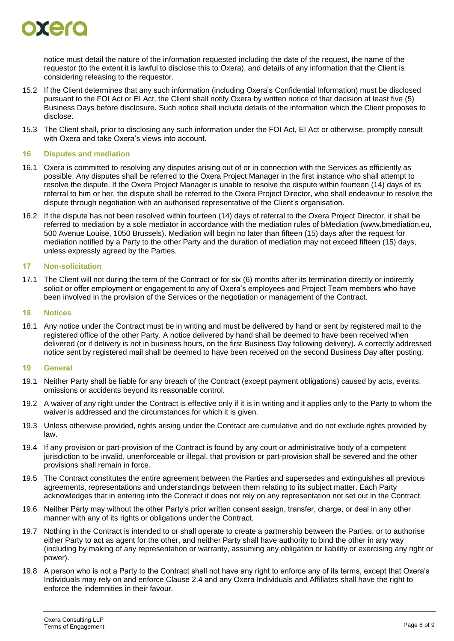

notice must detail the nature of the information requested including the date of the request, the name of the requestor (to the extent it is lawful to disclose this to Oxera), and details of any information that the Client is considering releasing to the requestor.

- 15.2 If the Client determines that any such information (including Oxera's Confidential Information) must be disclosed pursuant to the FOI Act or EI Act, the Client shall notify Oxera by written notice of that decision at least five (5) Business Days before disclosure. Such notice shall include details of the information which the Client proposes to disclose.
- 15.3 The Client shall, prior to disclosing any such information under the FOI Act, EI Act or otherwise, promptly consult with Oxera and take Oxera's views into account.

# **16 Disputes and mediation**

- 16.1 Oxera is committed to resolving any disputes arising out of or in connection with the Services as efficiently as possible. Any disputes shall be referred to the Oxera Project Manager in the first instance who shall attempt to resolve the dispute. If the Oxera Project Manager is unable to resolve the dispute within fourteen (14) days of its referral to him or her, the dispute shall be referred to the Oxera Project Director, who shall endeavour to resolve the dispute through negotiation with an authorised representative of the Client's organisation.
- 16.2 If the dispute has not been resolved within fourteen (14) days of referral to the Oxera Project Director, it shall be referred to mediation by a sole mediator in accordance with the mediation rules of bMediation (www.bmediation.eu, 500 Avenue Louise, 1050 Brussels). Mediation will begin no later than fifteen (15) days after the request for mediation notified by a Party to the other Party and the duration of mediation may not exceed fifteen (15) days, unless expressly agreed by the Parties.

# **17 Non-solicitation**

17.1 The Client will not during the term of the Contract or for six (6) months after its termination directly or indirectly solicit or offer employment or engagement to any of Oxera's employees and Project Team members who have been involved in the provision of the Services or the negotiation or management of the Contract.

## **18 Notices**

18.1 Any notice under the Contract must be in writing and must be delivered by hand or sent by registered mail to the registered office of the other Party. A notice delivered by hand shall be deemed to have been received when delivered (or if delivery is not in business hours, on the first Business Day following delivery). A correctly addressed notice sent by registered mail shall be deemed to have been received on the second Business Day after posting.

# <span id="page-7-0"></span>**19 General**

- 19.1 Neither Party shall be liable for any breach of the Contract (except payment obligations) caused by acts, events, omissions or accidents beyond its reasonable control.
- 19.2 A waiver of any right under the Contract is effective only if it is in writing and it applies only to the Party to whom the waiver is addressed and the circumstances for which it is given.
- 19.3 Unless otherwise provided, rights arising under the Contract are cumulative and do not exclude rights provided by law.
- 19.4 If any provision or part-provision of the Contract is found by any court or administrative body of a competent jurisdiction to be invalid, unenforceable or illegal, that provision or part-provision shall be severed and the other provisions shall remain in force.
- 19.5 The Contract constitutes the entire agreement between the Parties and supersedes and extinguishes all previous agreements, representations and understandings between them relating to its subject matter. Each Party acknowledges that in entering into the Contract it does not rely on any representation not set out in the Contract.
- 19.6 Neither Party may without the other Party's prior written consent assign, transfer, charge, or deal in any other manner with any of its rights or obligations under the Contract.
- 19.7 Nothing in the Contract is intended to or shall operate to create a partnership between the Parties, or to authorise either Party to act as agent for the other, and neither Party shall have authority to bind the other in any way (including by making of any representation or warranty, assuming any obligation or liability or exercising any right or power).
- 19.8 A person who is not a Party to the Contract shall not have any right to enforce any of its terms, except that Oxera's Individuals may rely on and enforce Clause [2.4](#page-1-1) and any Oxera Individuals and Affiliates shall have the right to enforce the indemnities in their favour.